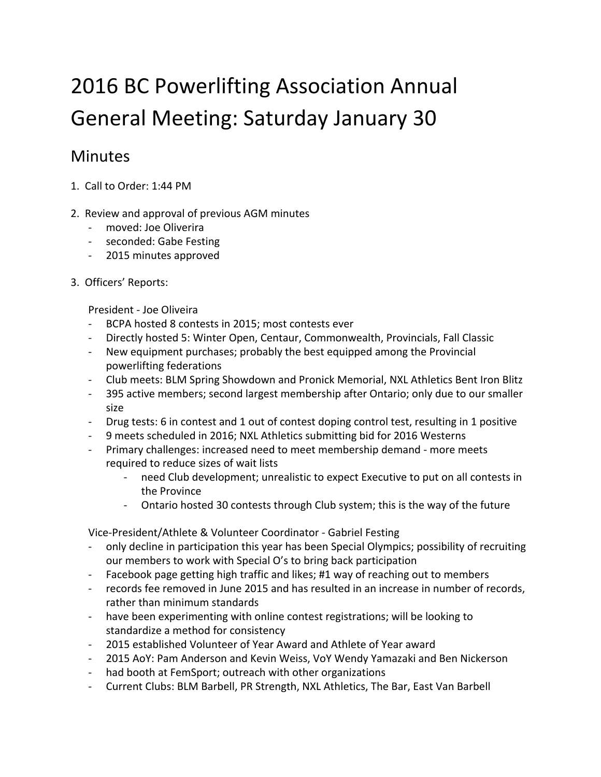## 2016 BC Powerlifting Association Annual General Meeting: Saturday January 30

## **Minutes**

- 1. Call to Order: 1:44 PM
- 2. Review and approval of previous AGM minutes
	- moved: Joe Oliverira
	- seconded: Gabe Festing
	- 2015 minutes approved
- 3. Officers' Reports:

President - Joe Oliveira

- BCPA hosted 8 contests in 2015; most contests ever
- Directly hosted 5: Winter Open, Centaur, Commonwealth, Provincials, Fall Classic
- New equipment purchases; probably the best equipped among the Provincial powerlifting federations
- Club meets: BLM Spring Showdown and Pronick Memorial, NXL Athletics Bent Iron Blitz
- 395 active members; second largest membership after Ontario; only due to our smaller size
- Drug tests: 6 in contest and 1 out of contest doping control test, resulting in 1 positive
- 9 meets scheduled in 2016; NXL Athletics submitting bid for 2016 Westerns
- Primary challenges: increased need to meet membership demand more meets required to reduce sizes of wait lists
	- need Club development; unrealistic to expect Executive to put on all contests in the Province
	- Ontario hosted 30 contests through Club system; this is the way of the future

Vice-President/Athlete & Volunteer Coordinator - Gabriel Festing

- only decline in participation this year has been Special Olympics; possibility of recruiting our members to work with Special O's to bring back participation
- Facebook page getting high traffic and likes; #1 way of reaching out to members
- records fee removed in June 2015 and has resulted in an increase in number of records, rather than minimum standards
- have been experimenting with online contest registrations; will be looking to standardize a method for consistency
- 2015 established Volunteer of Year Award and Athlete of Year award
- 2015 AoY: Pam Anderson and Kevin Weiss, VoY Wendy Yamazaki and Ben Nickerson
- had booth at FemSport; outreach with other organizations
- Current Clubs: BLM Barbell, PR Strength, NXL Athletics, The Bar, East Van Barbell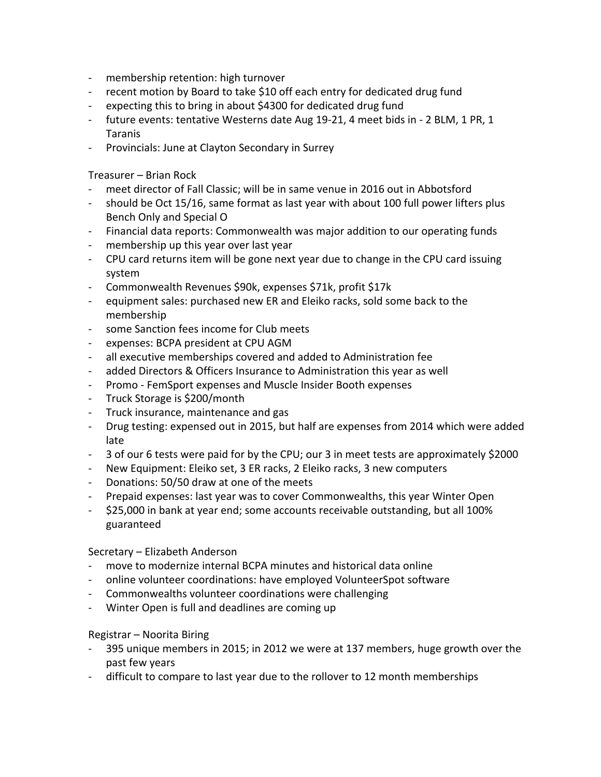- membership retention: high turnover
- recent motion by Board to take \$10 off each entry for dedicated drug fund
- expecting this to bring in about \$4300 for dedicated drug fund
- future events: tentative Westerns date Aug 19-21, 4 meet bids in 2 BLM, 1 PR, 1 Taranis
- Provincials: June at Clayton Secondary in Surrey

Treasurer – Brian Rock

- meet director of Fall Classic; will be in same venue in 2016 out in Abbotsford
- should be Oct 15/16, same format as last year with about 100 full power lifters plus Bench Only and Special O
- Financial data reports: Commonwealth was major addition to our operating funds
- membership up this year over last year
- CPU card returns item will be gone next year due to change in the CPU card issuing system
- Commonwealth Revenues \$90k, expenses \$71k, profit \$17k
- equipment sales: purchased new ER and Eleiko racks, sold some back to the membership
- some Sanction fees income for Club meets
- expenses: BCPA president at CPU AGM
- all executive memberships covered and added to Administration fee
- added Directors & Officers Insurance to Administration this year as well
- Promo FemSport expenses and Muscle Insider Booth expenses
- Truck Storage is \$200/month
- Truck insurance, maintenance and gas
- Drug testing: expensed out in 2015, but half are expenses from 2014 which were added late
- 3 of our 6 tests were paid for by the CPU; our 3 in meet tests are approximately \$2000
- New Equipment: Eleiko set, 3 ER racks, 2 Eleiko racks, 3 new computers
- Donations: 50/50 draw at one of the meets
- Prepaid expenses: last year was to cover Commonwealths, this year Winter Open
- \$25,000 in bank at year end; some accounts receivable outstanding, but all 100% guaranteed

## Secretary – Elizabeth Anderson

- move to modernize internal BCPA minutes and historical data online
- online volunteer coordinations: have employed VolunteerSpot software
- Commonwealths volunteer coordinations were challenging
- Winter Open is full and deadlines are coming up

## Registrar – Noorita Biring

- 395 unique members in 2015; in 2012 we were at 137 members, huge growth over the past few years
- difficult to compare to last year due to the rollover to 12 month memberships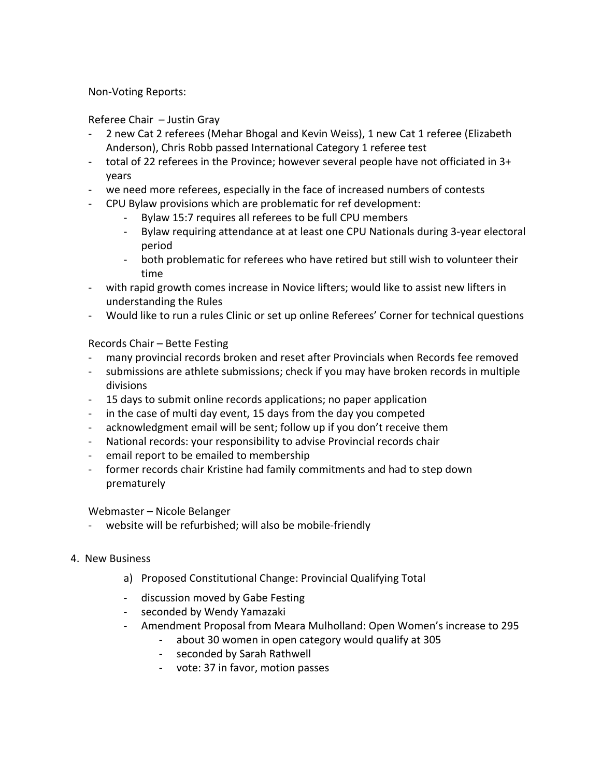Non-Voting Reports:

Referee Chair – Justin Gray

- 2 new Cat 2 referees (Mehar Bhogal and Kevin Weiss), 1 new Cat 1 referee (Elizabeth Anderson), Chris Robb passed International Category 1 referee test
- total of 22 referees in the Province; however several people have not officiated in 3+ years
- we need more referees, especially in the face of increased numbers of contests
- CPU Bylaw provisions which are problematic for ref development:
	- Bylaw 15:7 requires all referees to be full CPU members
	- Bylaw requiring attendance at at least one CPU Nationals during 3-year electoral period
	- both problematic for referees who have retired but still wish to volunteer their time
- with rapid growth comes increase in Novice lifters; would like to assist new lifters in understanding the Rules
- Would like to run a rules Clinic or set up online Referees' Corner for technical questions

Records Chair – Bette Festing

- many provincial records broken and reset after Provincials when Records fee removed
- submissions are athlete submissions; check if you may have broken records in multiple divisions
- 15 days to submit online records applications; no paper application
- in the case of multi day event, 15 days from the day you competed
- acknowledgment email will be sent; follow up if you don't receive them
- National records: your responsibility to advise Provincial records chair
- email report to be emailed to membership
- former records chair Kristine had family commitments and had to step down prematurely

Webmaster – Nicole Belanger

- website will be refurbished; will also be mobile-friendly
- 4. New Business
	- a) Proposed Constitutional Change: Provincial Qualifying Total
	- discussion moved by Gabe Festing
	- seconded by Wendy Yamazaki
	- Amendment Proposal from Meara Mulholland: Open Women's increase to 295
		- about 30 women in open category would qualify at 305
		- seconded by Sarah Rathwell
		- vote: 37 in favor, motion passes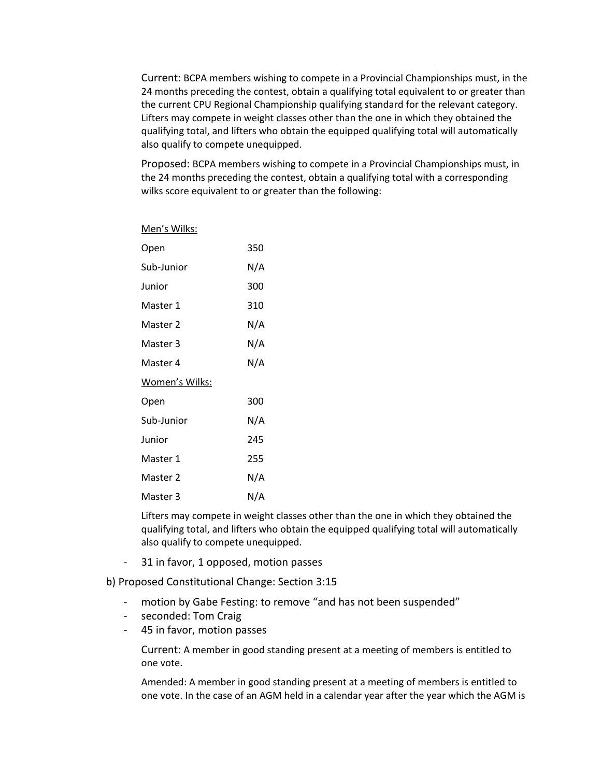Current: BCPA members wishing to compete in a Provincial Championships must, in the 24 months preceding the contest, obtain a qualifying total equivalent to or greater than the current CPU Regional Championship qualifying standard for the relevant category. Lifters may compete in weight classes other than the one in which they obtained the qualifying total, and lifters who obtain the equipped qualifying total will automatically also qualify to compete unequipped.

Proposed: BCPA members wishing to compete in a Provincial Championships must, in the 24 months preceding the contest, obtain a qualifying total with a corresponding wilks score equivalent to or greater than the following:

Men's Wilks:

| Open           | 350 |
|----------------|-----|
| Sub-Junior     | N/A |
| Junior         | 300 |
| Master 1       | 310 |
| Master 2       | N/A |
| Master 3       | N/A |
| Master 4       | N/A |
| Women's Wilks: |     |
| Open           | 300 |
| Sub-Junior     | N/A |
| Junior         | 245 |
| Master 1       | 255 |
| Master 2       | N/A |
| Master 3       | N/A |

Lifters may compete in weight classes other than the one in which they obtained the qualifying total, and lifters who obtain the equipped qualifying total will automatically also qualify to compete unequipped.

- 31 in favor, 1 opposed, motion passes

b) Proposed Constitutional Change: Section 3:15

- motion by Gabe Festing: to remove "and has not been suspended"
- seconded: Tom Craig
- 45 in favor, motion passes

Current: A member in good standing present at a meeting of members is entitled to one vote.

Amended: A member in good standing present at a meeting of members is entitled to one vote. In the case of an AGM held in a calendar year after the year which the AGM is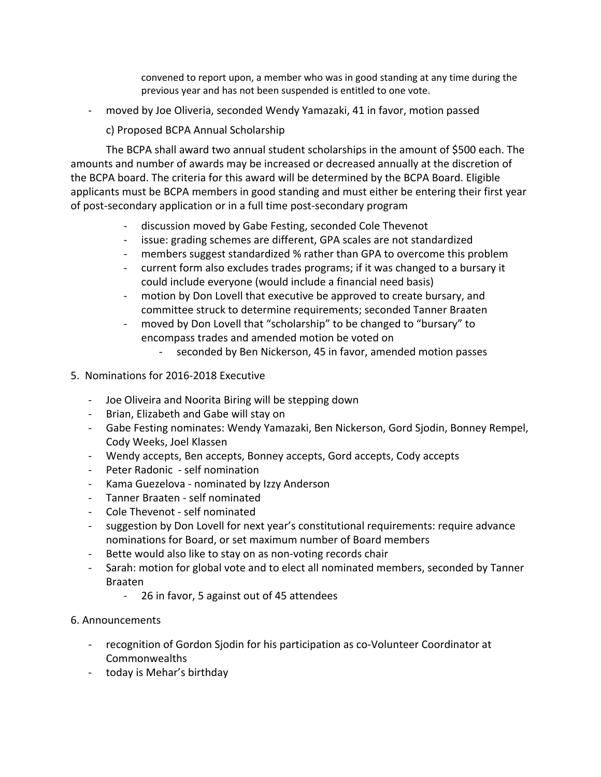convened to report upon, a member who was in good standing at any time during the previous year and has not been suspended is entitled to one vote.

- moved by Joe Oliveria, seconded Wendy Yamazaki, 41 in favor, motion passed

c) Proposed BCPA Annual Scholarship

The BCPA shall award two annual student scholarships in the amount of \$500 each. The amounts and number of awards may be increased or decreased annually at the discretion of the BCPA board. The criteria for this award will be determined by the BCPA Board. Eligible applicants must be BCPA members in good standing and must either be entering their first year of post-secondary application or in a full time post-secondary program

- discussion moved by Gabe Festing, seconded Cole Thevenot
- issue: grading schemes are different, GPA scales are not standardized
- members suggest standardized % rather than GPA to overcome this problem
- current form also excludes trades programs; if it was changed to a bursary it could include everyone (would include a financial need basis)
- motion by Don Lovell that executive be approved to create bursary, and committee struck to determine requirements; seconded Tanner Braaten
- moved by Don Lovell that "scholarship" to be changed to "bursary" to encompass trades and amended motion be voted on
	- seconded by Ben Nickerson, 45 in favor, amended motion passes
- 5. Nominations for 2016-2018 Executive
	- Joe Oliveira and Noorita Biring will be stepping down
	- Brian, Elizabeth and Gabe will stay on
	- Gabe Festing nominates: Wendy Yamazaki, Ben Nickerson, Gord Sjodin, Bonney Rempel, Cody Weeks, Joel Klassen
	- Wendy accepts, Ben accepts, Bonney accepts, Gord accepts, Cody accepts
	- Peter Radonic self nomination
	- Kama Guezelova nominated by Izzy Anderson
	- Tanner Braaten self nominated
	- Cole Thevenot self nominated
	- suggestion by Don Lovell for next year's constitutional requirements: require advance nominations for Board, or set maximum number of Board members
	- Bette would also like to stay on as non-voting records chair
	- Sarah: motion for global vote and to elect all nominated members, seconded by Tanner Braaten
		- 26 in favor, 5 against out of 45 attendees
- 6. Announcements
	- recognition of Gordon Sjodin for his participation as co-Volunteer Coordinator at Commonwealths
	- today is Mehar's birthday